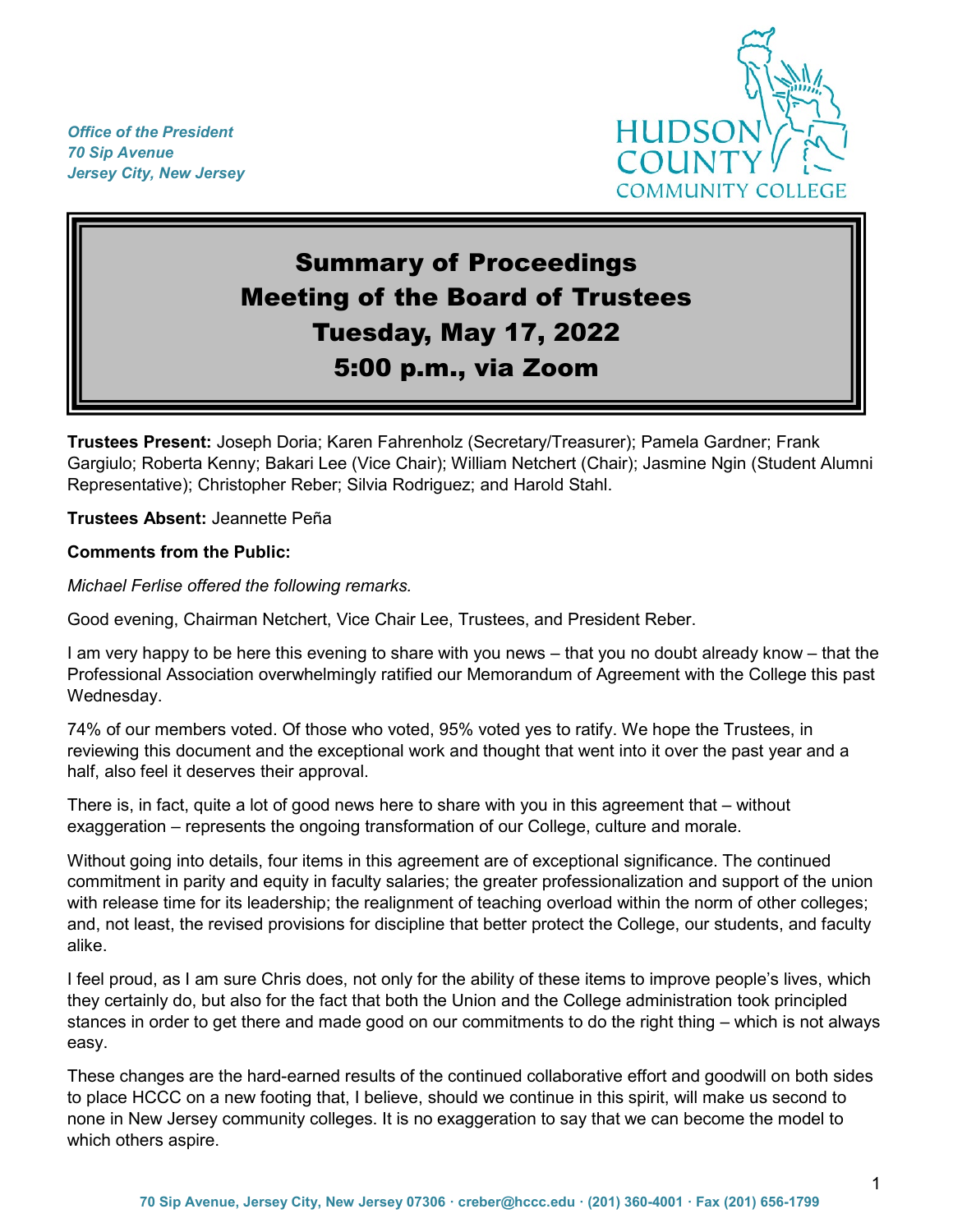*Office of the President 70 Sip Avenue Jersey City, New Jersey*



# Summary of Proceedings Meeting of the Board of Trustees Tuesday, May 17, 2022 5:00 p.m., via Zoom

**Trustees Present:** Joseph Doria; Karen Fahrenholz (Secretary/Treasurer); Pamela Gardner; Frank Gargiulo; Roberta Kenny; Bakari Lee (Vice Chair); William Netchert (Chair); Jasmine Ngin (Student Alumni Representative); Christopher Reber; Silvia Rodriguez; and Harold Stahl.

**Trustees Absent:** Jeannette Peña

#### **Comments from the Public:**

*Michael Ferlise offered the following remarks.* 

Good evening, Chairman Netchert, Vice Chair Lee, Trustees, and President Reber.

I am very happy to be here this evening to share with you news – that you no doubt already know – that the Professional Association overwhelmingly ratified our Memorandum of Agreement with the College this past Wednesday.

74% of our members voted. Of those who voted, 95% voted yes to ratify. We hope the Trustees, in reviewing this document and the exceptional work and thought that went into it over the past year and a half, also feel it deserves their approval.

There is, in fact, quite a lot of good news here to share with you in this agreement that – without exaggeration – represents the ongoing transformation of our College, culture and morale.

Without going into details, four items in this agreement are of exceptional significance. The continued commitment in parity and equity in faculty salaries; the greater professionalization and support of the union with release time for its leadership; the realignment of teaching overload within the norm of other colleges; and, not least, the revised provisions for discipline that better protect the College, our students, and faculty alike.

I feel proud, as I am sure Chris does, not only for the ability of these items to improve people's lives, which they certainly do, but also for the fact that both the Union and the College administration took principled stances in order to get there and made good on our commitments to do the right thing – which is not always easy.

These changes are the hard-earned results of the continued collaborative effort and goodwill on both sides to place HCCC on a new footing that, I believe, should we continue in this spirit, will make us second to none in New Jersey community colleges. It is no exaggeration to say that we can become the model to which others aspire.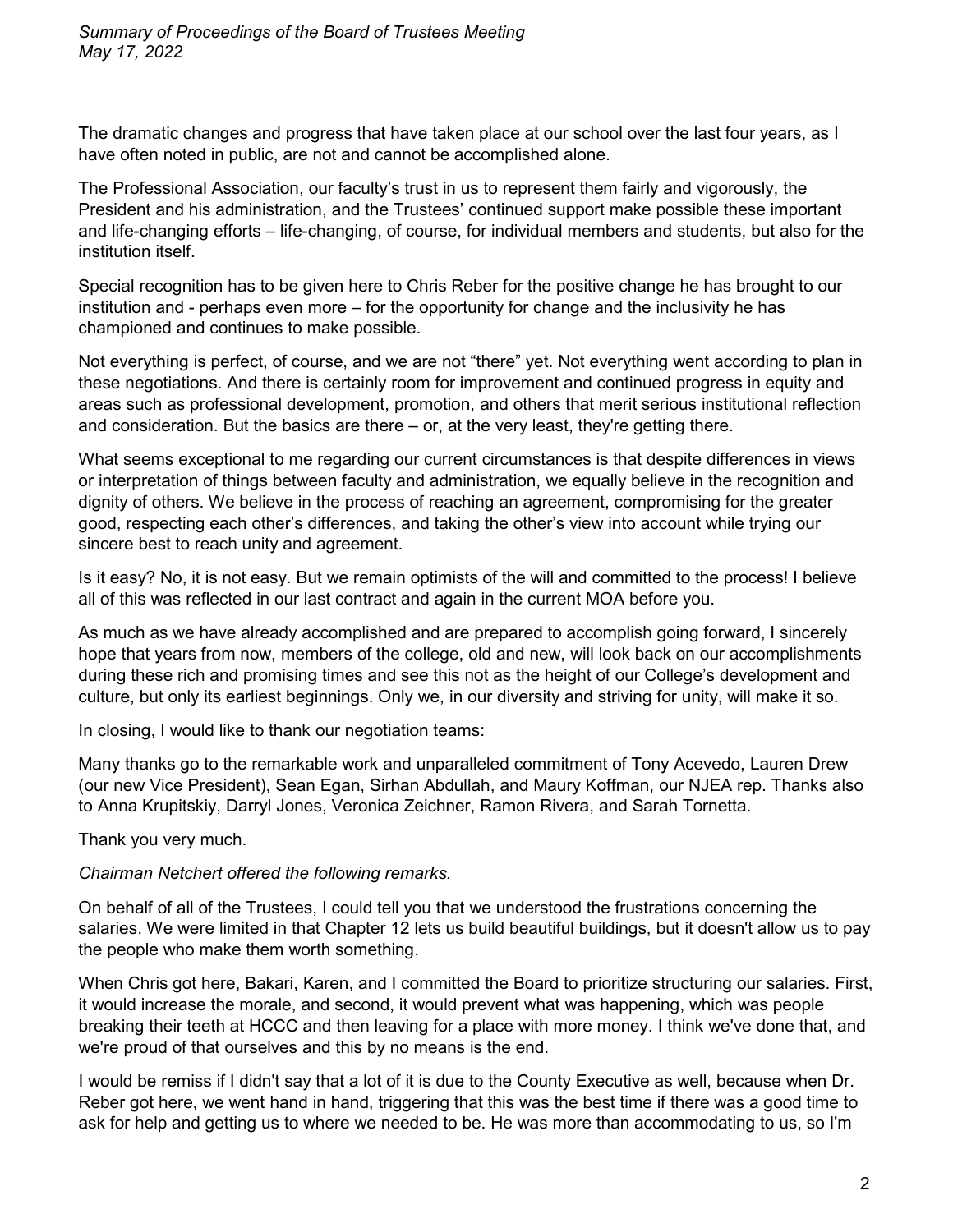The dramatic changes and progress that have taken place at our school over the last four years, as I have often noted in public, are not and cannot be accomplished alone.

The Professional Association, our faculty's trust in us to represent them fairly and vigorously, the President and his administration, and the Trustees' continued support make possible these important and life-changing efforts – life-changing, of course, for individual members and students, but also for the institution itself.

Special recognition has to be given here to Chris Reber for the positive change he has brought to our institution and - perhaps even more – for the opportunity for change and the inclusivity he has championed and continues to make possible.

Not everything is perfect, of course, and we are not "there" yet. Not everything went according to plan in these negotiations. And there is certainly room for improvement and continued progress in equity and areas such as professional development, promotion, and others that merit serious institutional reflection and consideration. But the basics are there – or, at the very least, they're getting there.

What seems exceptional to me regarding our current circumstances is that despite differences in views or interpretation of things between faculty and administration, we equally believe in the recognition and dignity of others. We believe in the process of reaching an agreement, compromising for the greater good, respecting each other's differences, and taking the other's view into account while trying our sincere best to reach unity and agreement.

Is it easy? No, it is not easy. But we remain optimists of the will and committed to the process! I believe all of this was reflected in our last contract and again in the current MOA before you.

As much as we have already accomplished and are prepared to accomplish going forward, I sincerely hope that years from now, members of the college, old and new, will look back on our accomplishments during these rich and promising times and see this not as the height of our College's development and culture, but only its earliest beginnings. Only we, in our diversity and striving for unity, will make it so.

In closing, I would like to thank our negotiation teams:

Many thanks go to the remarkable work and unparalleled commitment of Tony Acevedo, Lauren Drew (our new Vice President), Sean Egan, Sirhan Abdullah, and Maury Koffman, our NJEA rep. Thanks also to Anna Krupitskiy, Darryl Jones, Veronica Zeichner, Ramon Rivera, and Sarah Tornetta.

Thank you very much.

# *Chairman Netchert offered the following remarks.*

On behalf of all of the Trustees, I could tell you that we understood the frustrations concerning the salaries. We were limited in that Chapter 12 lets us build beautiful buildings, but it doesn't allow us to pay the people who make them worth something.

When Chris got here, Bakari, Karen, and I committed the Board to prioritize structuring our salaries. First, it would increase the morale, and second, it would prevent what was happening, which was people breaking their teeth at HCCC and then leaving for a place with more money. I think we've done that, and we're proud of that ourselves and this by no means is the end.

I would be remiss if I didn't say that a lot of it is due to the County Executive as well, because when Dr. Reber got here, we went hand in hand, triggering that this was the best time if there was a good time to ask for help and getting us to where we needed to be. He was more than accommodating to us, so I'm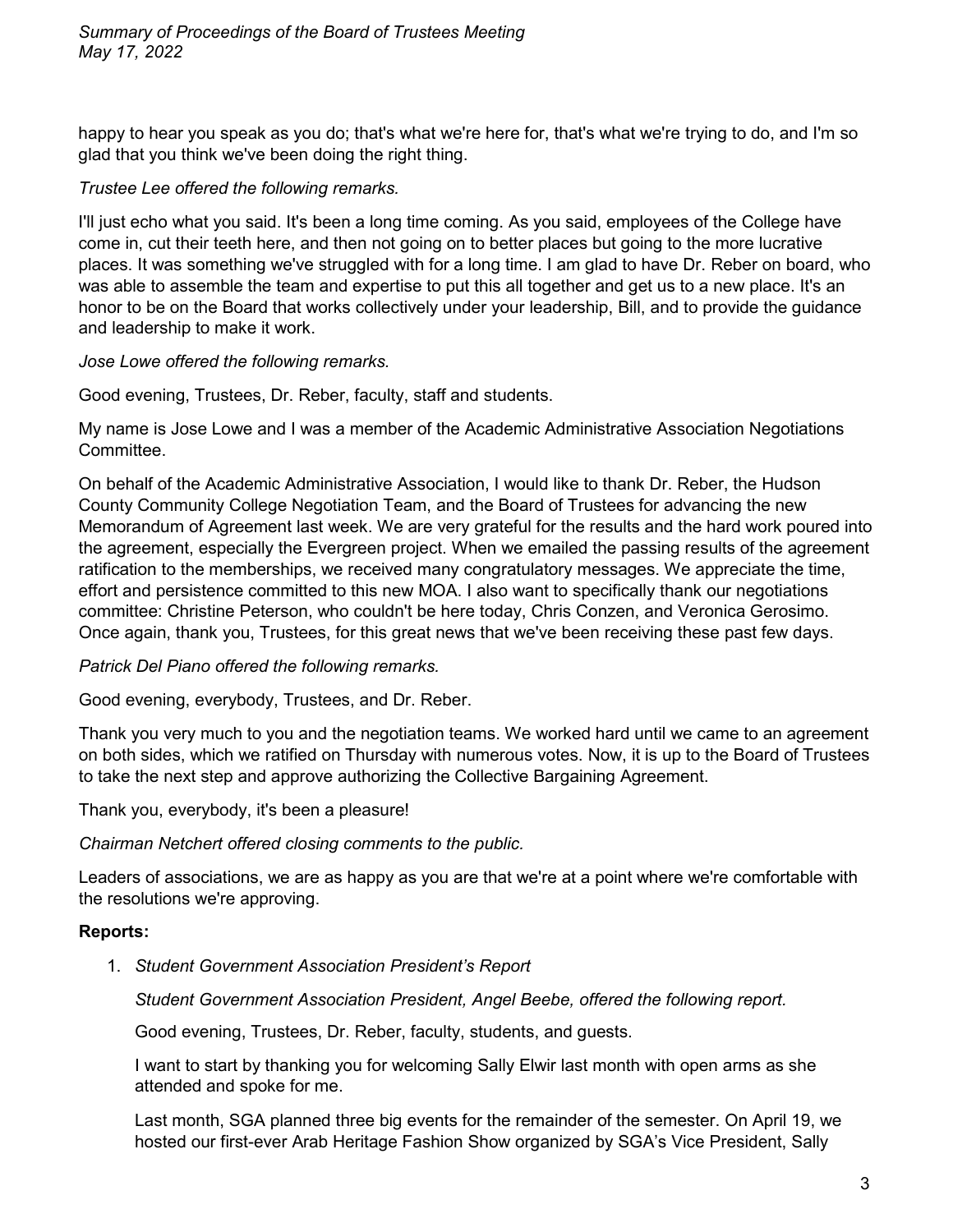happy to hear you speak as you do; that's what we're here for, that's what we're trying to do, and I'm so glad that you think we've been doing the right thing.

# *Trustee Lee offered the following remarks.*

I'll just echo what you said. It's been a long time coming. As you said, employees of the College have come in, cut their teeth here, and then not going on to better places but going to the more lucrative places. It was something we've struggled with for a long time. I am glad to have Dr. Reber on board, who was able to assemble the team and expertise to put this all together and get us to a new place. It's an honor to be on the Board that works collectively under your leadership, Bill, and to provide the guidance and leadership to make it work.

*Jose Lowe offered the following remarks.*

Good evening, Trustees, Dr. Reber, faculty, staff and students.

My name is Jose Lowe and I was a member of the Academic Administrative Association Negotiations Committee.

On behalf of the Academic Administrative Association, I would like to thank Dr. Reber, the Hudson County Community College Negotiation Team, and the Board of Trustees for advancing the new Memorandum of Agreement last week. We are very grateful for the results and the hard work poured into the agreement, especially the Evergreen project. When we emailed the passing results of the agreement ratification to the memberships, we received many congratulatory messages. We appreciate the time, effort and persistence committed to this new MOA. I also want to specifically thank our negotiations committee: Christine Peterson, who couldn't be here today, Chris Conzen, and Veronica Gerosimo. Once again, thank you, Trustees, for this great news that we've been receiving these past few days.

# *Patrick Del Piano offered the following remarks.*

Good evening, everybody, Trustees, and Dr. Reber.

Thank you very much to you and the negotiation teams. We worked hard until we came to an agreement on both sides, which we ratified on Thursday with numerous votes. Now, it is up to the Board of Trustees to take the next step and approve authorizing the Collective Bargaining Agreement.

Thank you, everybody, it's been a pleasure!

*Chairman Netchert offered closing comments to the public.*

Leaders of associations, we are as happy as you are that we're at a point where we're comfortable with the resolutions we're approving.

# **Reports:**

1. *Student Government Association President's Report*

*Student Government Association President, Angel Beebe, offered the following report.*

Good evening, Trustees, Dr. Reber, faculty, students, and guests.

I want to start by thanking you for welcoming Sally Elwir last month with open arms as she attended and spoke for me.

Last month, SGA planned three big events for the remainder of the semester. On April 19, we hosted our first-ever Arab Heritage Fashion Show organized by SGA's Vice President, Sally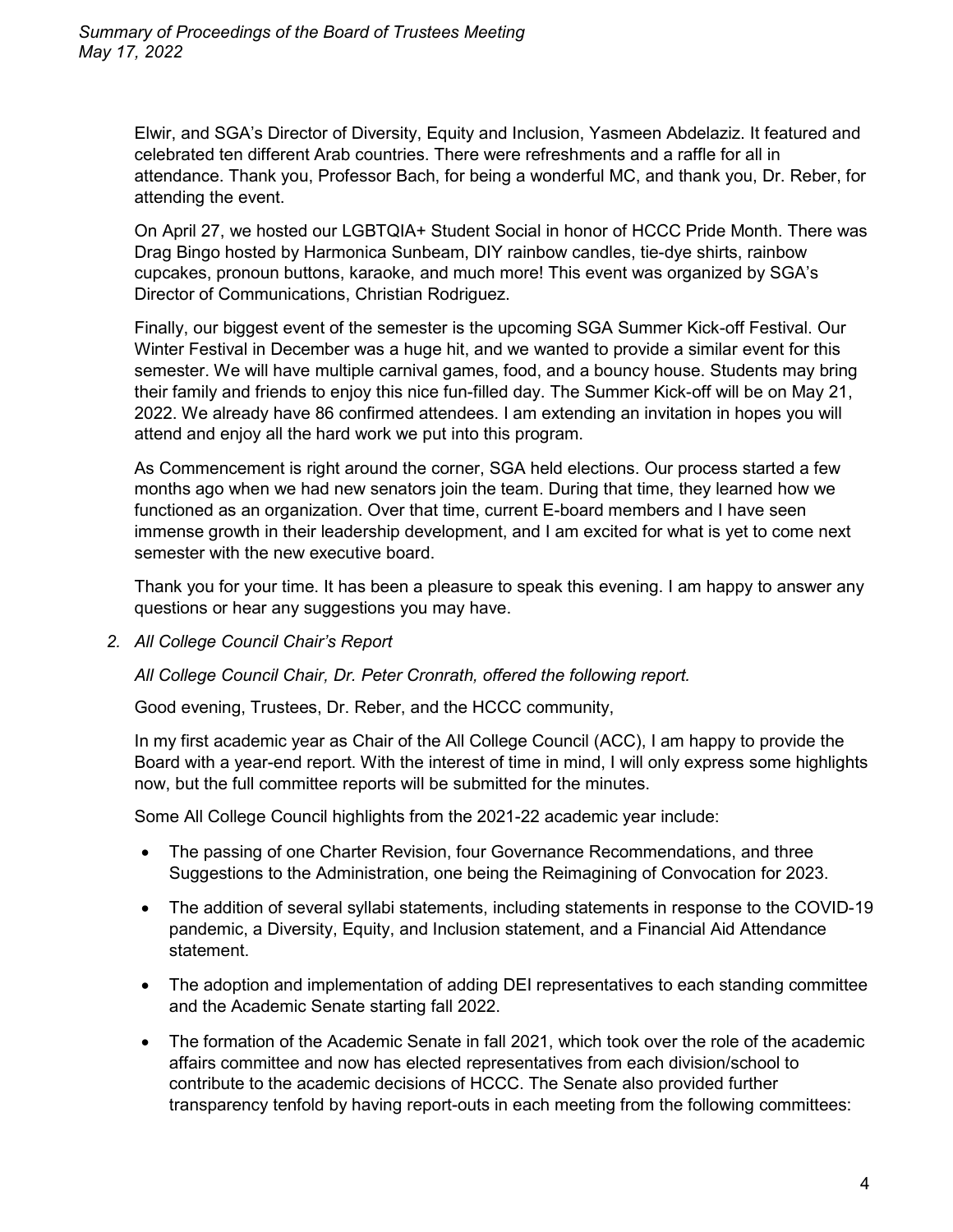Elwir, and SGA's Director of Diversity, Equity and Inclusion, Yasmeen Abdelaziz. It featured and celebrated ten different Arab countries. There were refreshments and a raffle for all in attendance. Thank you, Professor Bach, for being a wonderful MC, and thank you, Dr. Reber, for attending the event.

On April 27, we hosted our LGBTQIA+ Student Social in honor of HCCC Pride Month. There was Drag Bingo hosted by Harmonica Sunbeam, DIY rainbow candles, tie-dye shirts, rainbow cupcakes, pronoun buttons, karaoke, and much more! This event was organized by SGA's Director of Communications, Christian Rodriguez.

Finally, our biggest event of the semester is the upcoming SGA Summer Kick-off Festival. Our Winter Festival in December was a huge hit, and we wanted to provide a similar event for this semester. We will have multiple carnival games, food, and a bouncy house. Students may bring their family and friends to enjoy this nice fun-filled day. The Summer Kick-off will be on May 21, 2022. We already have 86 confirmed attendees. I am extending an invitation in hopes you will attend and enjoy all the hard work we put into this program.

As Commencement is right around the corner, SGA held elections. Our process started a few months ago when we had new senators join the team. During that time, they learned how we functioned as an organization. Over that time, current E-board members and I have seen immense growth in their leadership development, and I am excited for what is yet to come next semester with the new executive board.

Thank you for your time. It has been a pleasure to speak this evening. I am happy to answer any questions or hear any suggestions you may have.

*2. All College Council Chair's Report*

*All College Council Chair, Dr. Peter Cronrath, offered the following report.*

Good evening, Trustees, Dr. Reber, and the HCCC community,

In my first academic year as Chair of the All College Council (ACC), I am happy to provide the Board with a year-end report. With the interest of time in mind, I will only express some highlights now, but the full committee reports will be submitted for the minutes.

Some All College Council highlights from the 2021-22 academic year include:

- The passing of one Charter Revision, four Governance Recommendations, and three Suggestions to the Administration, one being the Reimagining of Convocation for 2023.
- The addition of several syllabi statements, including statements in response to the COVID-19 pandemic, a Diversity, Equity, and Inclusion statement, and a Financial Aid Attendance statement.
- The adoption and implementation of adding DEI representatives to each standing committee and the Academic Senate starting fall 2022.
- The formation of the Academic Senate in fall 2021, which took over the role of the academic affairs committee and now has elected representatives from each division/school to contribute to the academic decisions of HCCC. The Senate also provided further transparency tenfold by having report-outs in each meeting from the following committees: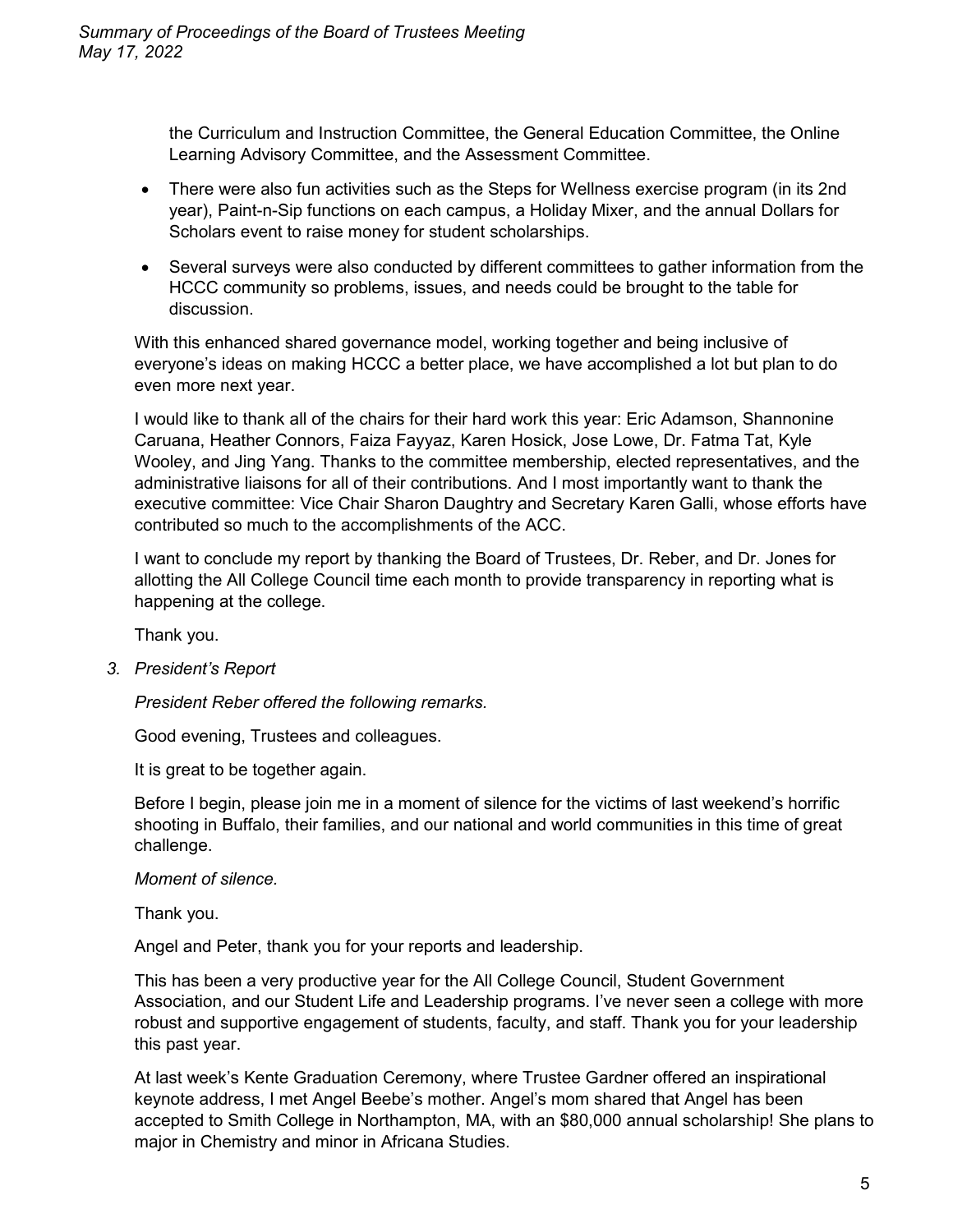the Curriculum and Instruction Committee, the General Education Committee, the Online Learning Advisory Committee, and the Assessment Committee.

- There were also fun activities such as the Steps for Wellness exercise program (in its 2nd year), Paint-n-Sip functions on each campus, a Holiday Mixer, and the annual Dollars for Scholars event to raise money for student scholarships.
- Several surveys were also conducted by different committees to gather information from the HCCC community so problems, issues, and needs could be brought to the table for discussion.

With this enhanced shared governance model, working together and being inclusive of everyone's ideas on making HCCC a better place, we have accomplished a lot but plan to do even more next year.

I would like to thank all of the chairs for their hard work this year: Eric Adamson, Shannonine Caruana, Heather Connors, Faiza Fayyaz, Karen Hosick, Jose Lowe, Dr. Fatma Tat, Kyle Wooley, and Jing Yang. Thanks to the committee membership, elected representatives, and the administrative liaisons for all of their contributions. And I most importantly want to thank the executive committee: Vice Chair Sharon Daughtry and Secretary Karen Galli, whose efforts have contributed so much to the accomplishments of the ACC.

I want to conclude my report by thanking the Board of Trustees, Dr. Reber, and Dr. Jones for allotting the All College Council time each month to provide transparency in reporting what is happening at the college.

Thank you.

*3. President's Report*

*President Reber offered the following remarks.*

Good evening, Trustees and colleagues.

It is great to be together again.

Before I begin, please join me in a moment of silence for the victims of last weekend's horrific shooting in Buffalo, their families, and our national and world communities in this time of great challenge.

*Moment of silence.*

Thank you.

Angel and Peter, thank you for your reports and leadership.

This has been a very productive year for the All College Council, Student Government Association, and our Student Life and Leadership programs. I've never seen a college with more robust and supportive engagement of students, faculty, and staff. Thank you for your leadership this past year.

At last week's Kente Graduation Ceremony, where Trustee Gardner offered an inspirational keynote address, I met Angel Beebe's mother. Angel's mom shared that Angel has been accepted to Smith College in Northampton, MA, with an \$80,000 annual scholarship! She plans to major in Chemistry and minor in Africana Studies.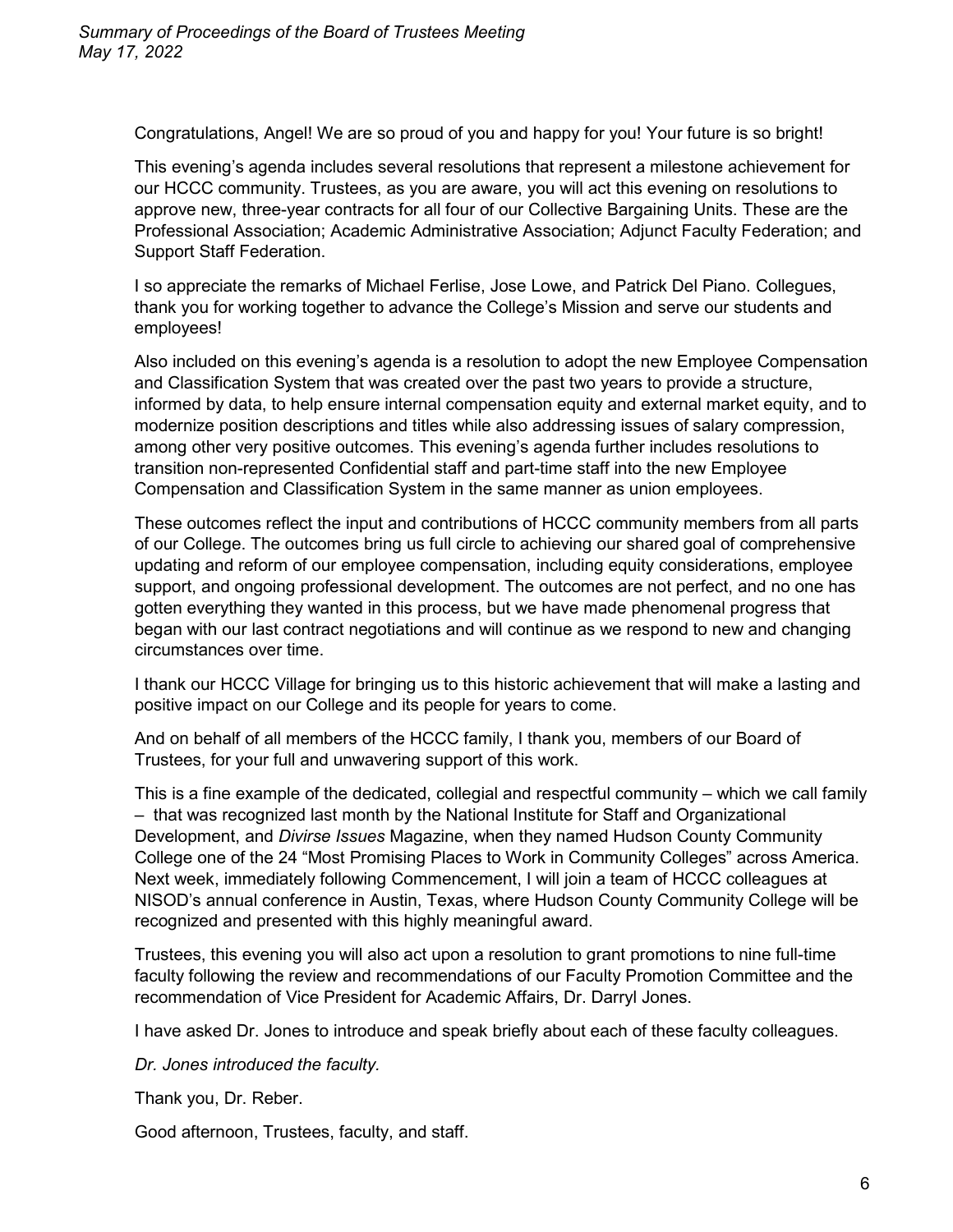Congratulations, Angel! We are so proud of you and happy for you! Your future is so bright!

This evening's agenda includes several resolutions that represent a milestone achievement for our HCCC community. Trustees, as you are aware, you will act this evening on resolutions to approve new, three-year contracts for all four of our Collective Bargaining Units. These are the Professional Association; Academic Administrative Association; Adjunct Faculty Federation; and Support Staff Federation.

I so appreciate the remarks of Michael Ferlise, Jose Lowe, and Patrick Del Piano. Collegues, thank you for working together to advance the College's Mission and serve our students and employees!

Also included on this evening's agenda is a resolution to adopt the new Employee Compensation and Classification System that was created over the past two years to provide a structure, informed by data, to help ensure internal compensation equity and external market equity, and to modernize position descriptions and titles while also addressing issues of salary compression, among other very positive outcomes. This evening's agenda further includes resolutions to transition non-represented Confidential staff and part-time staff into the new Employee Compensation and Classification System in the same manner as union employees.

These outcomes reflect the input and contributions of HCCC community members from all parts of our College. The outcomes bring us full circle to achieving our shared goal of comprehensive updating and reform of our employee compensation, including equity considerations, employee support, and ongoing professional development. The outcomes are not perfect, and no one has gotten everything they wanted in this process, but we have made phenomenal progress that began with our last contract negotiations and will continue as we respond to new and changing circumstances over time.

I thank our HCCC Village for bringing us to this historic achievement that will make a lasting and positive impact on our College and its people for years to come.

And on behalf of all members of the HCCC family, I thank you, members of our Board of Trustees, for your full and unwavering support of this work.

This is a fine example of the dedicated, collegial and respectful community – which we call family – that was recognized last month by the National Institute for Staff and Organizational Development, and *Divirse Issues* Magazine, when they named Hudson County Community College one of the 24 "Most Promising Places to Work in Community Colleges" across America. Next week, immediately following Commencement, I will join a team of HCCC colleagues at NISOD's annual conference in Austin, Texas, where Hudson County Community College will be recognized and presented with this highly meaningful award.

Trustees, this evening you will also act upon a resolution to grant promotions to nine full-time faculty following the review and recommendations of our Faculty Promotion Committee and the recommendation of Vice President for Academic Affairs, Dr. Darryl Jones.

I have asked Dr. Jones to introduce and speak briefly about each of these faculty colleagues.

*Dr. Jones introduced the faculty.*

Thank you, Dr. Reber.

Good afternoon, Trustees, faculty, and staff.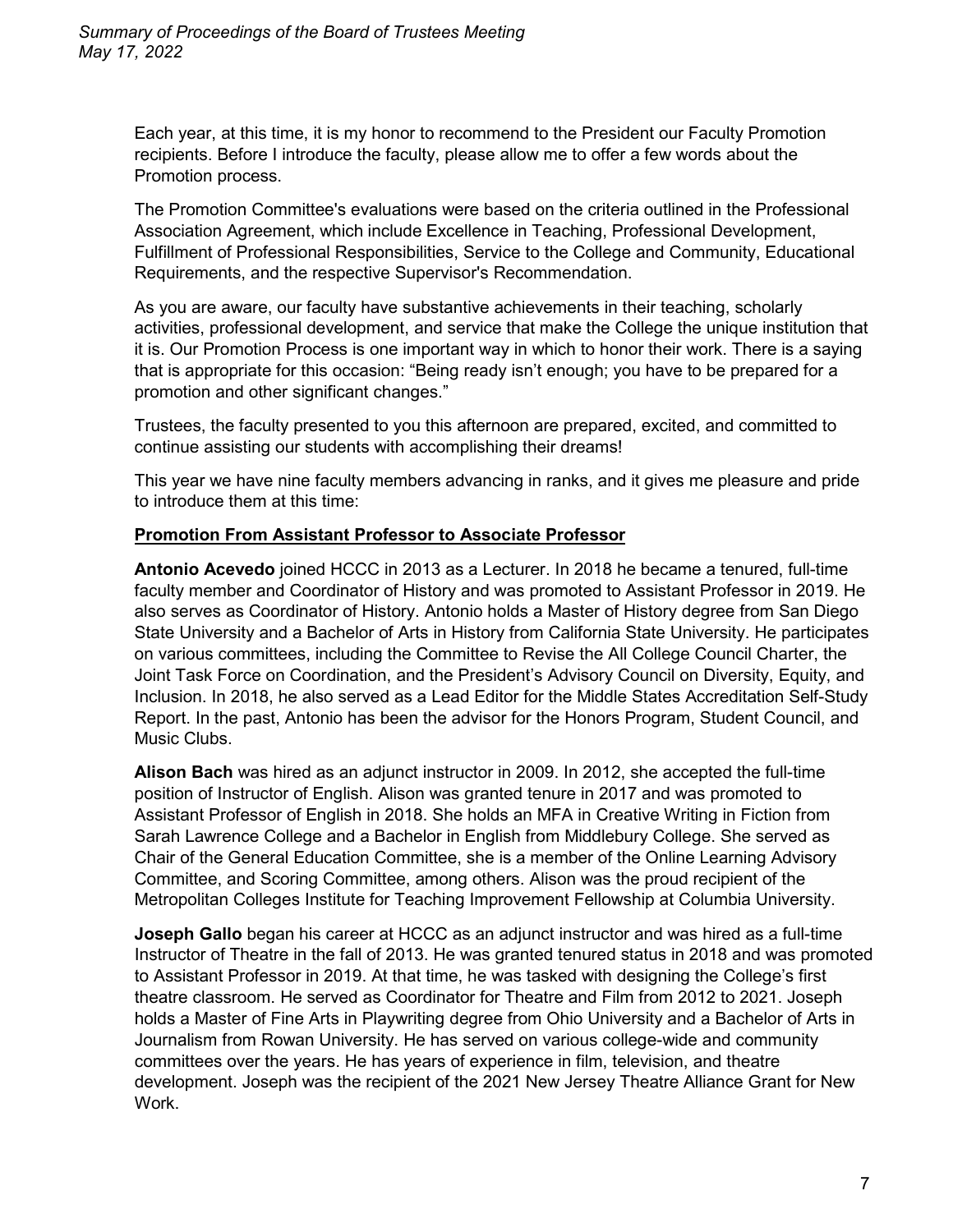Each year, at this time, it is my honor to recommend to the President our Faculty Promotion recipients. Before I introduce the faculty, please allow me to offer a few words about the Promotion process.

The Promotion Committee's evaluations were based on the criteria outlined in the Professional Association Agreement, which include Excellence in Teaching, Professional Development, Fulfillment of Professional Responsibilities, Service to the College and Community, Educational Requirements, and the respective Supervisor's Recommendation.

As you are aware, our faculty have substantive achievements in their teaching, scholarly activities, professional development, and service that make the College the unique institution that it is. Our Promotion Process is one important way in which to honor their work. There is a saying that is appropriate for this occasion: "Being ready isn't enough; you have to be prepared for a promotion and other significant changes."

Trustees, the faculty presented to you this afternoon are prepared, excited, and committed to continue assisting our students with accomplishing their dreams!

This year we have nine faculty members advancing in ranks, and it gives me pleasure and pride to introduce them at this time:

## **Promotion From Assistant Professor to Associate Professor**

**Antonio Acevedo** joined HCCC in 2013 as a Lecturer. In 2018 he became a tenured, full-time faculty member and Coordinator of History and was promoted to Assistant Professor in 2019. He also serves as Coordinator of History. Antonio holds a Master of History degree from San Diego State University and a Bachelor of Arts in History from California State University. He participates on various committees, including the Committee to Revise the All College Council Charter, the Joint Task Force on Coordination, and the President's Advisory Council on Diversity, Equity, and Inclusion. In 2018, he also served as a Lead Editor for the Middle States Accreditation Self-Study Report. In the past, Antonio has been the advisor for the Honors Program, Student Council, and Music Clubs.

**Alison Bach** was hired as an adjunct instructor in 2009. In 2012, she accepted the full-time position of Instructor of English. Alison was granted tenure in 2017 and was promoted to Assistant Professor of English in 2018. She holds an MFA in Creative Writing in Fiction from Sarah Lawrence College and a Bachelor in English from Middlebury College. She served as Chair of the General Education Committee, she is a member of the Online Learning Advisory Committee, and Scoring Committee, among others. Alison was the proud recipient of the Metropolitan Colleges Institute for Teaching Improvement Fellowship at Columbia University.

**Joseph Gallo** began his career at HCCC as an adjunct instructor and was hired as a full-time Instructor of Theatre in the fall of 2013. He was granted tenured status in 2018 and was promoted to Assistant Professor in 2019. At that time, he was tasked with designing the College's first theatre classroom. He served as Coordinator for Theatre and Film from 2012 to 2021. Joseph holds a Master of Fine Arts in Playwriting degree from Ohio University and a Bachelor of Arts in Journalism from Rowan University. He has served on various college-wide and community committees over the years. He has years of experience in film, television, and theatre development. Joseph was the recipient of the 2021 New Jersey Theatre Alliance Grant for New Work.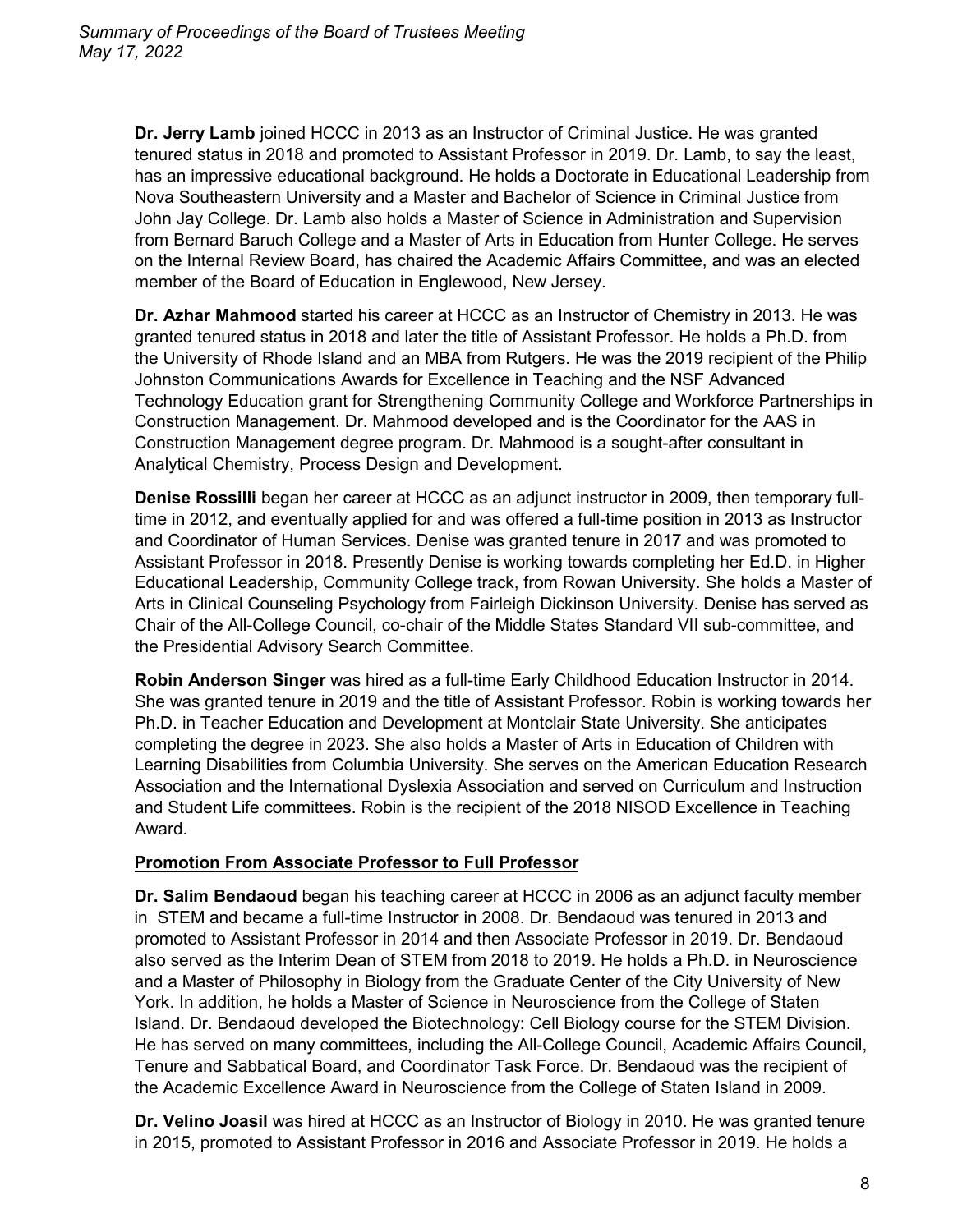**Dr. Jerry Lamb** joined HCCC in 2013 as an Instructor of Criminal Justice. He was granted tenured status in 2018 and promoted to Assistant Professor in 2019. Dr. Lamb, to say the least, has an impressive educational background. He holds a Doctorate in Educational Leadership from Nova Southeastern University and a Master and Bachelor of Science in Criminal Justice from John Jay College. Dr. Lamb also holds a Master of Science in Administration and Supervision from Bernard Baruch College and a Master of Arts in Education from Hunter College. He serves on the Internal Review Board, has chaired the Academic Affairs Committee, and was an elected member of the Board of Education in Englewood, New Jersey.

**Dr. Azhar Mahmood** started his career at HCCC as an Instructor of Chemistry in 2013. He was granted tenured status in 2018 and later the title of Assistant Professor. He holds a Ph.D. from the University of Rhode Island and an MBA from Rutgers. He was the 2019 recipient of the Philip Johnston Communications Awards for Excellence in Teaching and the NSF Advanced Technology Education grant for Strengthening Community College and Workforce Partnerships in Construction Management. Dr. Mahmood developed and is the Coordinator for the AAS in Construction Management degree program. Dr. Mahmood is a sought-after consultant in Analytical Chemistry, Process Design and Development.

**Denise Rossilli** began her career at HCCC as an adjunct instructor in 2009, then temporary fulltime in 2012, and eventually applied for and was offered a full-time position in 2013 as Instructor and Coordinator of Human Services. Denise was granted tenure in 2017 and was promoted to Assistant Professor in 2018. Presently Denise is working towards completing her Ed.D. in Higher Educational Leadership, Community College track, from Rowan University. She holds a Master of Arts in Clinical Counseling Psychology from Fairleigh Dickinson University. Denise has served as Chair of the All-College Council, co-chair of the Middle States Standard VII sub-committee, and the Presidential Advisory Search Committee.

**Robin Anderson Singer** was hired as a full-time Early Childhood Education Instructor in 2014. She was granted tenure in 2019 and the title of Assistant Professor. Robin is working towards her Ph.D. in Teacher Education and Development at Montclair State University. She anticipates completing the degree in 2023. She also holds a Master of Arts in Education of Children with Learning Disabilities from Columbia University. She serves on the American Education Research Association and the International Dyslexia Association and served on Curriculum and Instruction and Student Life committees. Robin is the recipient of the 2018 NISOD Excellence in Teaching Award.

#### **Promotion From Associate Professor to Full Professor**

**Dr. Salim Bendaoud** began his teaching career at HCCC in 2006 as an adjunct faculty member in STEM and became a full-time Instructor in 2008. Dr. Bendaoud was tenured in 2013 and promoted to Assistant Professor in 2014 and then Associate Professor in 2019. Dr. Bendaoud also served as the Interim Dean of STEM from 2018 to 2019. He holds a Ph.D. in Neuroscience and a Master of Philosophy in Biology from the Graduate Center of the City University of New York. In addition, he holds a Master of Science in Neuroscience from the College of Staten Island. Dr. Bendaoud developed the Biotechnology: Cell Biology course for the STEM Division. He has served on many committees, including the All-College Council, Academic Affairs Council, Tenure and Sabbatical Board, and Coordinator Task Force. Dr. Bendaoud was the recipient of the Academic Excellence Award in Neuroscience from the College of Staten Island in 2009.

**Dr. Velino Joasil** was hired at HCCC as an Instructor of Biology in 2010. He was granted tenure in 2015, promoted to Assistant Professor in 2016 and Associate Professor in 2019. He holds a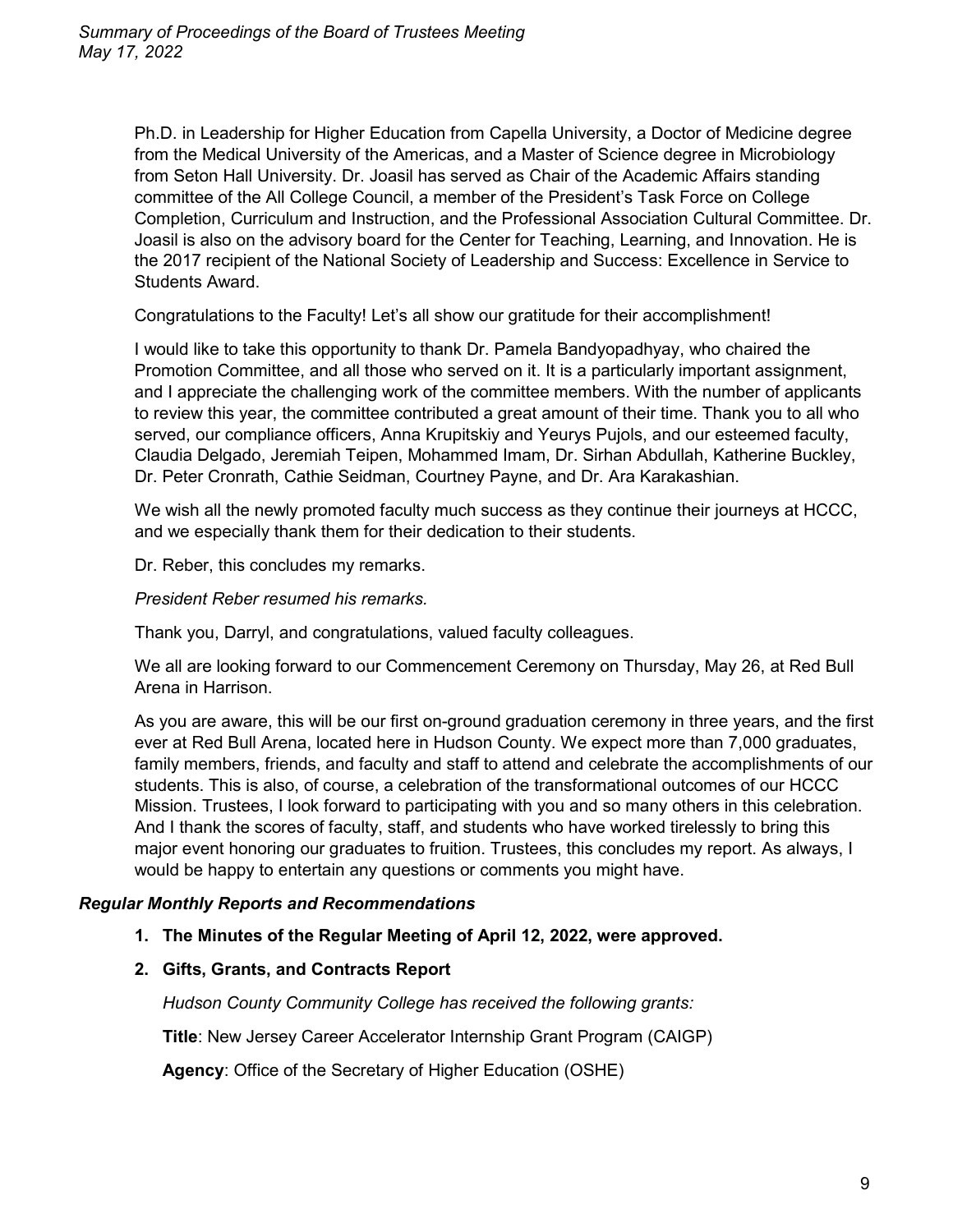Ph.D. in Leadership for Higher Education from Capella University, a Doctor of Medicine degree from the Medical University of the Americas, and a Master of Science degree in Microbiology from Seton Hall University. Dr. Joasil has served as Chair of the Academic Affairs standing committee of the All College Council, a member of the President's Task Force on College Completion, Curriculum and Instruction, and the Professional Association Cultural Committee. Dr. Joasil is also on the advisory board for the Center for Teaching, Learning, and Innovation. He is the 2017 recipient of the National Society of Leadership and Success: Excellence in Service to Students Award.

Congratulations to the Faculty! Let's all show our gratitude for their accomplishment!

I would like to take this opportunity to thank Dr. Pamela Bandyopadhyay, who chaired the Promotion Committee, and all those who served on it. It is a particularly important assignment, and I appreciate the challenging work of the committee members. With the number of applicants to review this year, the committee contributed a great amount of their time. Thank you to all who served, our compliance officers, Anna Krupitskiy and Yeurys Pujols, and our esteemed faculty, Claudia Delgado, Jeremiah Teipen, Mohammed Imam, Dr. Sirhan Abdullah, Katherine Buckley, Dr. Peter Cronrath, Cathie Seidman, Courtney Payne, and Dr. Ara Karakashian.

We wish all the newly promoted faculty much success as they continue their journeys at HCCC, and we especially thank them for their dedication to their students.

Dr. Reber, this concludes my remarks.

*President Reber resumed his remarks.*

Thank you, Darryl, and congratulations, valued faculty colleagues.

We all are looking forward to our Commencement Ceremony on Thursday, May 26, at Red Bull Arena in Harrison.

As you are aware, this will be our first on-ground graduation ceremony in three years, and the first ever at Red Bull Arena, located here in Hudson County. We expect more than 7,000 graduates, family members, friends, and faculty and staff to attend and celebrate the accomplishments of our students. This is also, of course, a celebration of the transformational outcomes of our HCCC Mission. Trustees, I look forward to participating with you and so many others in this celebration. And I thank the scores of faculty, staff, and students who have worked tirelessly to bring this major event honoring our graduates to fruition. Trustees, this concludes my report. As always, I would be happy to entertain any questions or comments you might have.

#### *Regular Monthly Reports and Recommendations*

- **1. The Minutes of the Regular Meeting of April 12, 2022, were approved.**
- **2. Gifts, Grants, and Contracts Report**

*Hudson County Community College has received the following grants:*

**Title**: New Jersey Career Accelerator Internship Grant Program (CAIGP)

**Agency**: Office of the Secretary of Higher Education (OSHE)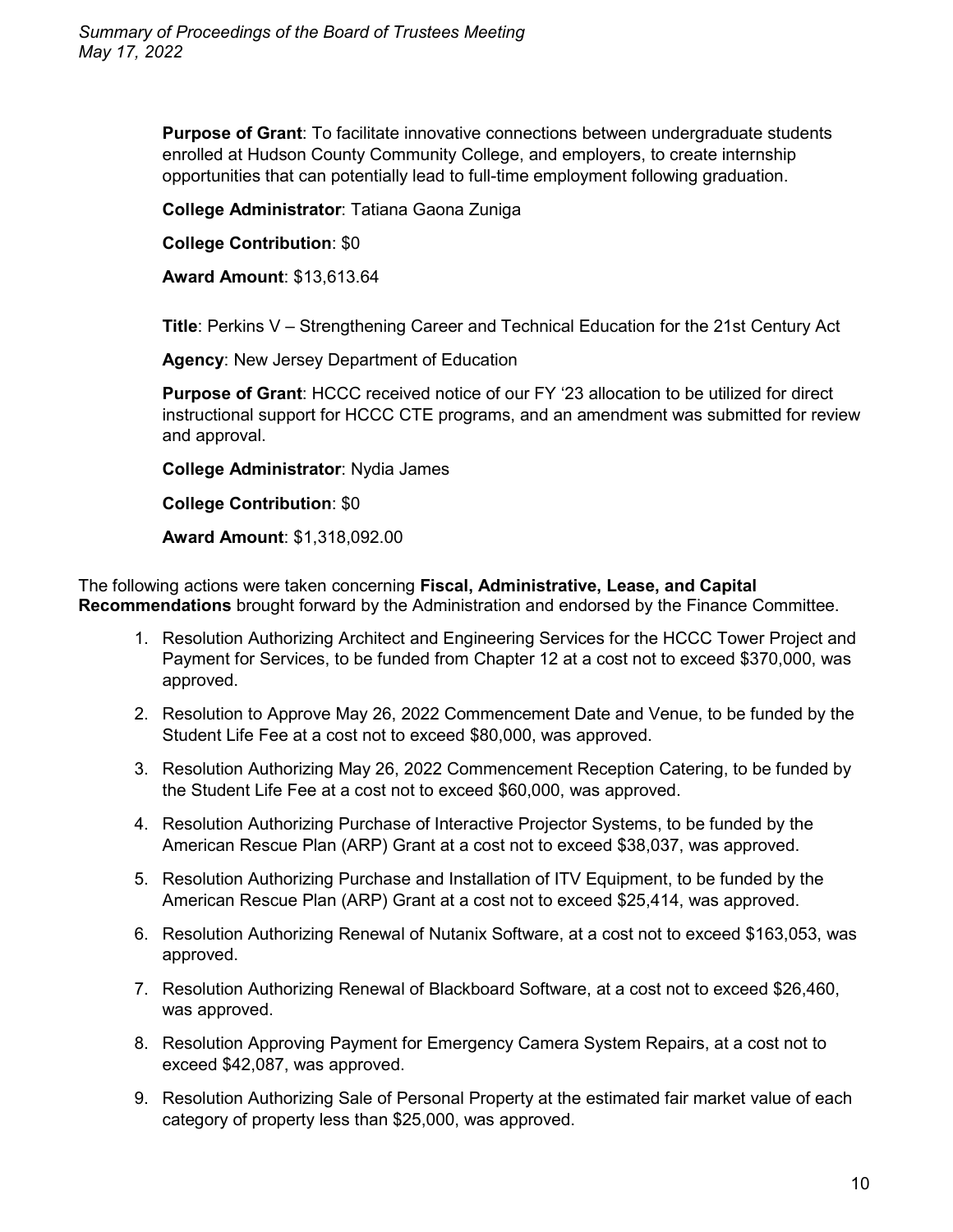**Purpose of Grant**: To facilitate innovative connections between undergraduate students enrolled at Hudson County Community College, and employers, to create internship opportunities that can potentially lead to full-time employment following graduation.

**College Administrator**: Tatiana Gaona Zuniga

**College Contribution**: \$0

**Award Amount**: \$13,613.64

**Title**: Perkins V – Strengthening Career and Technical Education for the 21st Century Act

**Agency**: New Jersey Department of Education

**Purpose of Grant**: HCCC received notice of our FY '23 allocation to be utilized for direct instructional support for HCCC CTE programs, and an amendment was submitted for review and approval.

**College Administrator**: Nydia James

**College Contribution**: \$0

**Award Amount**: \$1,318,092.00

The following actions were taken concerning **Fiscal, Administrative, Lease, and Capital Recommendations** brought forward by the Administration and endorsed by the Finance Committee.

- 1. Resolution Authorizing Architect and Engineering Services for the HCCC Tower Project and Payment for Services, to be funded from Chapter 12 at a cost not to exceed \$370,000, was approved.
- 2. Resolution to Approve May 26, 2022 Commencement Date and Venue, to be funded by the Student Life Fee at a cost not to exceed \$80,000, was approved.
- 3. Resolution Authorizing May 26, 2022 Commencement Reception Catering, to be funded by the Student Life Fee at a cost not to exceed \$60,000, was approved.
- 4. Resolution Authorizing Purchase of Interactive Projector Systems, to be funded by the American Rescue Plan (ARP) Grant at a cost not to exceed \$38,037, was approved.
- 5. Resolution Authorizing Purchase and Installation of ITV Equipment, to be funded by the American Rescue Plan (ARP) Grant at a cost not to exceed \$25,414, was approved.
- 6. Resolution Authorizing Renewal of Nutanix Software, at a cost not to exceed \$163,053, was approved.
- 7. Resolution Authorizing Renewal of Blackboard Software, at a cost not to exceed \$26,460, was approved.
- 8. Resolution Approving Payment for Emergency Camera System Repairs, at a cost not to exceed \$42,087, was approved.
- 9. Resolution Authorizing Sale of Personal Property at the estimated fair market value of each category of property less than \$25,000, was approved.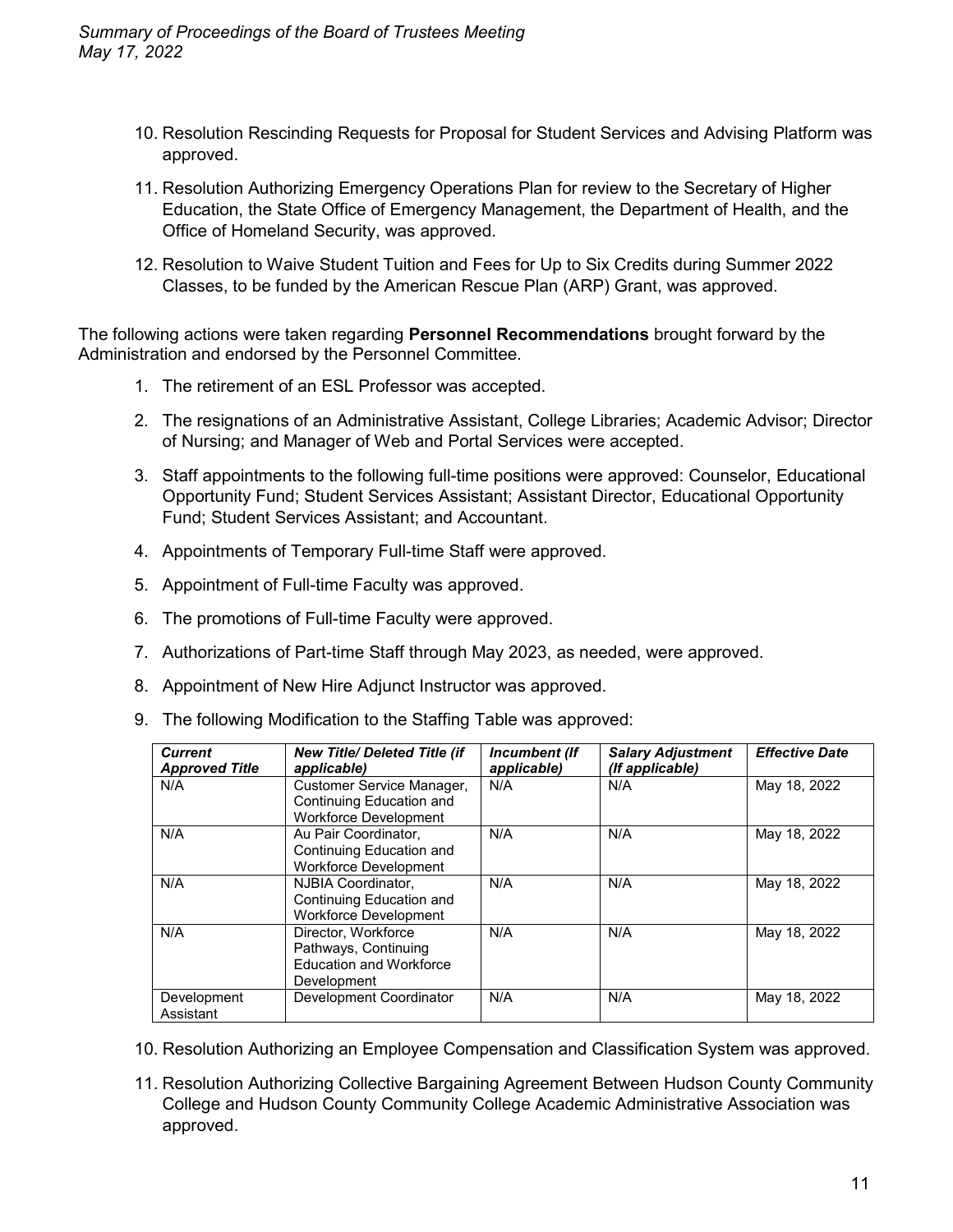- 10. Resolution Rescinding Requests for Proposal for Student Services and Advising Platform was approved.
- 11. Resolution Authorizing Emergency Operations Plan for review to the Secretary of Higher Education, the State Office of Emergency Management, the Department of Health, and the Office of Homeland Security, was approved.
- 12. Resolution to Waive Student Tuition and Fees for Up to Six Credits during Summer 2022 Classes, to be funded by the American Rescue Plan (ARP) Grant, was approved.

The following actions were taken regarding **Personnel Recommendations** brought forward by the Administration and endorsed by the Personnel Committee.

- 1. The retirement of an ESL Professor was accepted.
- 2. The resignations of an Administrative Assistant, College Libraries; Academic Advisor; Director of Nursing; and Manager of Web and Portal Services were accepted.
- 3. Staff appointments to the following full-time positions were approved: Counselor, Educational Opportunity Fund; Student Services Assistant; Assistant Director, Educational Opportunity Fund; Student Services Assistant; and Accountant.
- 4. Appointments of Temporary Full-time Staff were approved.
- 5. Appointment of Full-time Faculty was approved.
- 6. The promotions of Full-time Faculty were approved.
- 7. Authorizations of Part-time Staff through May 2023, as needed, were approved.
- 8. Appointment of New Hire Adjunct Instructor was approved.
- 9. The following Modification to the Staffing Table was approved:

| <b>Current</b><br><b>Approved Title</b> | New Title/ Deleted Title (if<br>applicable)                                                  | Incumbent (If<br>applicable) | <b>Salary Adjustment</b><br>(If applicable) | <b>Effective Date</b> |
|-----------------------------------------|----------------------------------------------------------------------------------------------|------------------------------|---------------------------------------------|-----------------------|
| N/A                                     | Customer Service Manager,<br>Continuing Education and<br><b>Workforce Development</b>        | N/A                          | N/A                                         | May 18, 2022          |
| N/A                                     | Au Pair Coordinator,<br>Continuing Education and<br><b>Workforce Development</b>             | N/A                          | N/A                                         | May 18, 2022          |
| N/A                                     | NJBIA Coordinator.<br>Continuing Education and<br>Workforce Development                      | N/A                          | N/A                                         | May 18, 2022          |
| N/A                                     | Director, Workforce<br>Pathways, Continuing<br><b>Education and Workforce</b><br>Development | N/A                          | N/A                                         | May 18, 2022          |
| Development<br>Assistant                | Development Coordinator                                                                      | N/A                          | N/A                                         | May 18, 2022          |

- 10. Resolution Authorizing an Employee Compensation and Classification System was approved.
- 11. Resolution Authorizing Collective Bargaining Agreement Between Hudson County Community College and Hudson County Community College Academic Administrative Association was approved.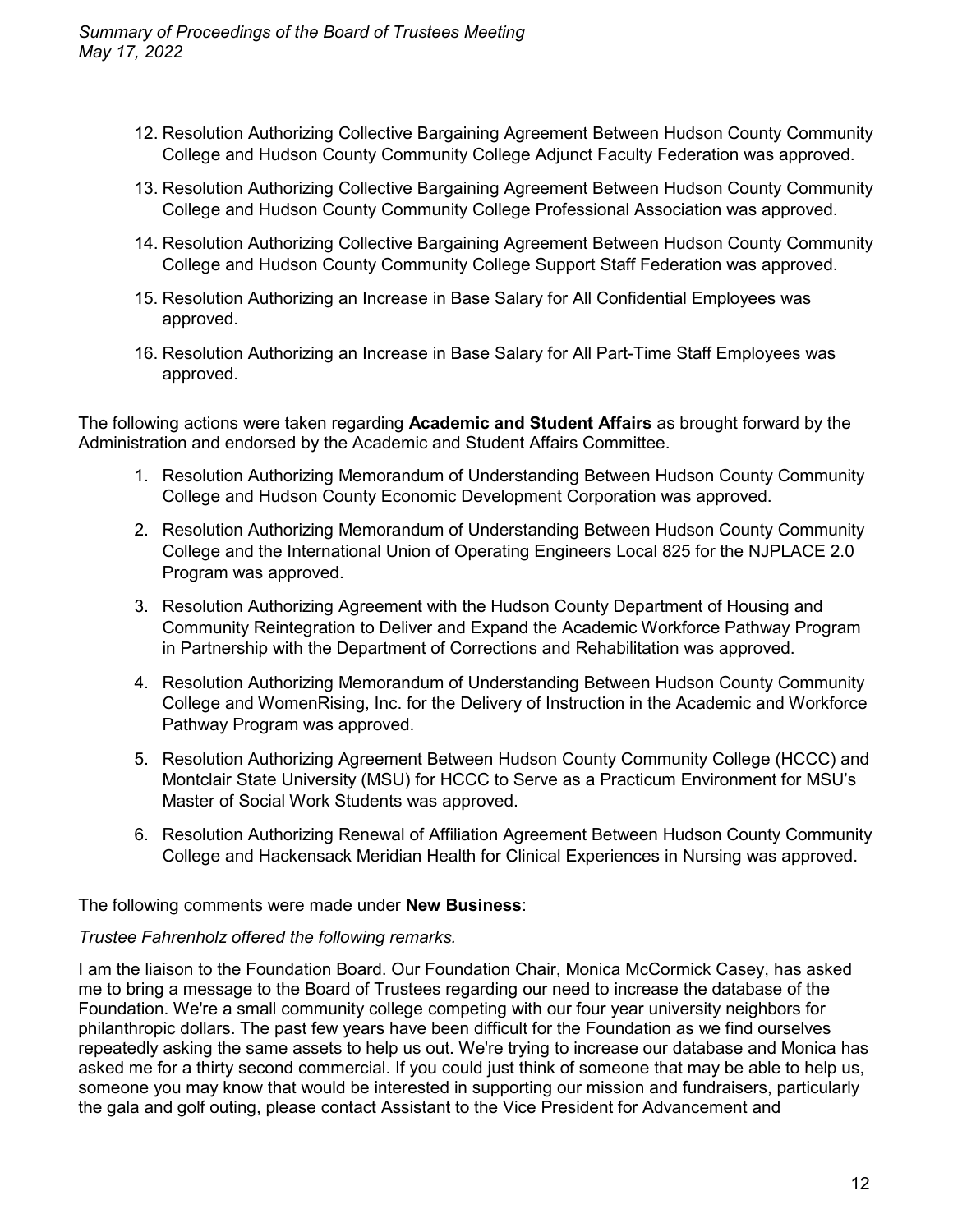- 12. Resolution Authorizing Collective Bargaining Agreement Between Hudson County Community College and Hudson County Community College Adjunct Faculty Federation was approved.
- 13. Resolution Authorizing Collective Bargaining Agreement Between Hudson County Community College and Hudson County Community College Professional Association was approved.
- 14. Resolution Authorizing Collective Bargaining Agreement Between Hudson County Community College and Hudson County Community College Support Staff Federation was approved.
- 15. Resolution Authorizing an Increase in Base Salary for All Confidential Employees was approved.
- 16. Resolution Authorizing an Increase in Base Salary for All Part-Time Staff Employees was approved.

The following actions were taken regarding **Academic and Student Affairs** as brought forward by the Administration and endorsed by the Academic and Student Affairs Committee.

- 1. Resolution Authorizing Memorandum of Understanding Between Hudson County Community College and Hudson County Economic Development Corporation was approved.
- 2. Resolution Authorizing Memorandum of Understanding Between Hudson County Community College and the International Union of Operating Engineers Local 825 for the NJPLACE 2.0 Program was approved.
- 3. Resolution Authorizing Agreement with the Hudson County Department of Housing and Community Reintegration to Deliver and Expand the Academic Workforce Pathway Program in Partnership with the Department of Corrections and Rehabilitation was approved.
- 4. Resolution Authorizing Memorandum of Understanding Between Hudson County Community College and WomenRising, Inc. for the Delivery of Instruction in the Academic and Workforce Pathway Program was approved.
- 5. Resolution Authorizing Agreement Between Hudson County Community College (HCCC) and Montclair State University (MSU) for HCCC to Serve as a Practicum Environment for MSU's Master of Social Work Students was approved.
- 6. Resolution Authorizing Renewal of Affiliation Agreement Between Hudson County Community College and Hackensack Meridian Health for Clinical Experiences in Nursing was approved.

The following comments were made under **New Business**:

#### *Trustee Fahrenholz offered the following remarks.*

I am the liaison to the Foundation Board. Our Foundation Chair, Monica McCormick Casey, has asked me to bring a message to the Board of Trustees regarding our need to increase the database of the Foundation. We're a small community college competing with our four year university neighbors for philanthropic dollars. The past few years have been difficult for the Foundation as we find ourselves repeatedly asking the same assets to help us out. We're trying to increase our database and Monica has asked me for a thirty second commercial. If you could just think of someone that may be able to help us, someone you may know that would be interested in supporting our mission and fundraisers, particularly the gala and golf outing, please contact Assistant to the Vice President for Advancement and